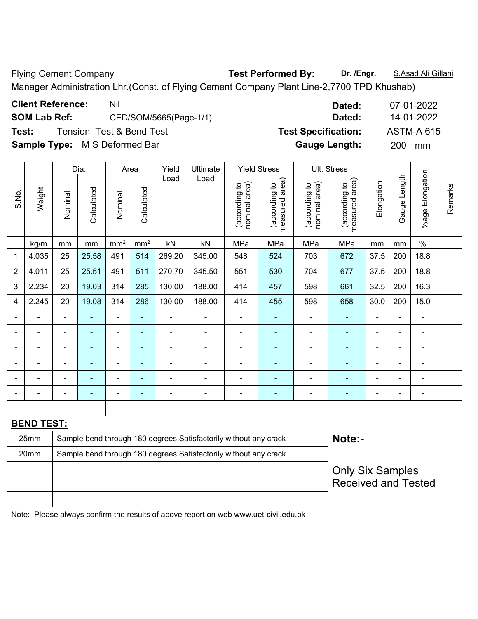Flying Cement Company **Test Performed By:** Dr. /Engr. **S.Asad Ali Gillani** Manager Administration Lhr.(Const. of Flying Cement Company Plant Line-2,7700 TPD Khushab)

|       | <b>Client Reference:</b><br>Nil      |         |                                     |                 |                 |                        |          |                                  |                                                 |                                | Dated:                               |                   |                     | 07-01-2022            |         |  |
|-------|--------------------------------------|---------|-------------------------------------|-----------------|-----------------|------------------------|----------|----------------------------------|-------------------------------------------------|--------------------------------|--------------------------------------|-------------------|---------------------|-----------------------|---------|--|
|       | <b>SOM Lab Ref:</b>                  |         |                                     |                 |                 | CED/SOM/5665(Page-1/1) |          |                                  |                                                 |                                | Dated:                               |                   |                     | 14-01-2022            |         |  |
| Test: |                                      |         | <b>Tension Test &amp; Bend Test</b> |                 |                 |                        |          |                                  | <b>Test Specification:</b>                      |                                |                                      | <b>ASTM-A 615</b> |                     |                       |         |  |
|       | <b>Sample Type: M S Deformed Bar</b> |         |                                     |                 |                 |                        |          |                                  |                                                 |                                | <b>Gauge Length:</b>                 |                   | 200                 | mm                    |         |  |
|       |                                      | Dia.    |                                     |                 | Area            | Yield                  | Ultimate |                                  | <b>Yield Stress</b>                             |                                | Ult. Stress                          |                   |                     |                       |         |  |
| S.No. | Weight                               | Nominal | Calculated                          | Nominal         | Calculated      | Load                   | Load     | nominal area)<br>ೆ<br>(according | area)<br>$\mathsf{S}$<br>(according<br>measured | (according to<br>nominal area) | area)<br>악<br>(according<br>measured | Elongation        | Length<br>auge<br>Ő | Elongation<br>$%$ age | Remarks |  |
|       | kg/m                                 | mm      | mm                                  | mm <sup>2</sup> | mm <sup>2</sup> | kN                     | kN       | MPa                              | MPa                                             | MPa                            | MPa                                  | mm                | mm                  | $\%$                  |         |  |
| 1     | 4.035                                | 25      | 25.58                               | 491             | 514             | 269.20                 | 345.00   | 548                              | 524                                             | 703                            | 672                                  | 37.5              | 200                 | 18.8                  |         |  |
| 2     | 4.011                                | 25      | 25.51                               | 491             | 511             | 270.70                 | 345.50   | 551                              | 530                                             | 704                            | 677                                  | 37.5              | 200                 | 18.8                  |         |  |
| 3     | 2.234                                | 20      | 19.03                               | 314             | 285             | 130.00                 | 188.00   | 414                              | 457                                             | 598                            | 661                                  | 32.5              | 200                 | 16.3                  |         |  |
| 4     | 2.245                                | 20      | 19.08                               | 314             | 286             | 130.00                 | 188.00   | 414                              | 455                                             | 598                            | 658                                  | 30.0              | 200                 | 15.0                  |         |  |
|       |                                      |         |                                     |                 |                 |                        |          |                                  |                                                 |                                |                                      |                   |                     |                       |         |  |
|       |                                      |         |                                     |                 |                 |                        |          |                                  |                                                 |                                |                                      |                   |                     |                       |         |  |

- - - - - - - - - - - - - - - - - - - - - - - - - - - - - - - - - - - - - - - - - - - - - - - - - - - - - - - - - - - - - - - - - - - - - - - - - - -

| <b>BEND TEST:</b> |                                                                                     |                            |  |  |  |  |  |  |
|-------------------|-------------------------------------------------------------------------------------|----------------------------|--|--|--|--|--|--|
| 25mm              | Sample bend through 180 degrees Satisfactorily without any crack                    | Note:-                     |  |  |  |  |  |  |
| 20 <sub>mm</sub>  | Sample bend through 180 degrees Satisfactorily without any crack                    |                            |  |  |  |  |  |  |
|                   |                                                                                     | <b>Only Six Samples</b>    |  |  |  |  |  |  |
|                   |                                                                                     | <b>Received and Tested</b> |  |  |  |  |  |  |
|                   |                                                                                     |                            |  |  |  |  |  |  |
|                   | Note: Please always confirm the results of above report on web www.uet-civil.edu.pk |                            |  |  |  |  |  |  |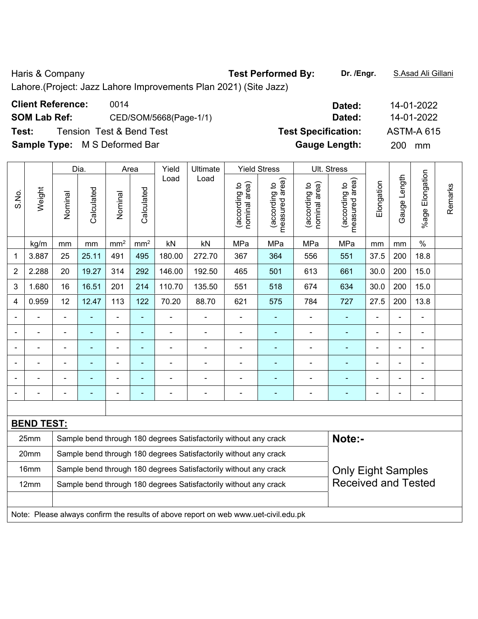Haris & Company **Test Performed By:** Dr. /Engr. **S.Asad Ali Gillani Hari** Dr. /Engr. **B.Asad Ali Gillani** 

Lahore.(Project: Jazz Lahore Improvements Plan 2021) (Site Jazz)

| <b>Client Reference:</b>             | 0014                     | Dated:                     | 14-01-2022        |
|--------------------------------------|--------------------------|----------------------------|-------------------|
| <b>SOM Lab Ref:</b>                  | CED/SOM/5668(Page-1/1)   | Dated:                     | 14-01-2022        |
| Test:                                | Tension Test & Bend Test | <b>Test Specification:</b> | <b>ASTM-A 615</b> |
| <b>Sample Type:</b> M S Deformed Bar |                          | <b>Gauge Length:</b>       | 200<br>mm         |

|                |                   |                                                                                                | Dia.           |                          | Area            | Yield          | Ultimate                                                                            |                                | <b>Yield Stress</b>             |                                | Ult. Stress                     |                |                |                          |         |
|----------------|-------------------|------------------------------------------------------------------------------------------------|----------------|--------------------------|-----------------|----------------|-------------------------------------------------------------------------------------|--------------------------------|---------------------------------|--------------------------------|---------------------------------|----------------|----------------|--------------------------|---------|
| S.No.          | Weight            | Nominal                                                                                        | Calculated     | Nominal                  | Calculated      | Load           | Load                                                                                | nominal area)<br>(according to | (according to<br>measured area) | nominal area)<br>(according to | (according to<br>measured area) | Elongation     | Gauge Length   | Elongation<br>%age       | Remarks |
|                | kg/m              | mm                                                                                             | mm             | mm <sup>2</sup>          | mm <sup>2</sup> | kN             | kN                                                                                  | MPa                            | MPa                             | MPa                            | MPa                             | mm             | mm             | $\%$                     |         |
| 1              | 3.887             | 25                                                                                             | 25.11          | 491                      | 495             | 180.00         | 272.70                                                                              | 367                            | 364                             | 556                            | 551                             | 37.5           | 200            | 18.8                     |         |
| $\overline{2}$ | 2.288             | 20                                                                                             | 19.27          | 314                      | 292             | 146.00         | 192.50                                                                              | 465                            | 501                             | 613                            | 661                             | 30.0           | 200            | 15.0                     |         |
| 3              | 1.680             | 16                                                                                             | 16.51          | 201                      | 214             | 110.70         | 135.50                                                                              | 551                            | 518                             | 674                            | 634                             | 30.0           | 200            | 15.0                     |         |
| 4              | 0.959             | 12                                                                                             | 12.47          | 113                      | 122             | 70.20          | 88.70                                                                               | 621                            | 575                             | 784                            | 727                             | 27.5           | 200            | 13.8                     |         |
|                | ä,                | $\blacksquare$                                                                                 | $\blacksquare$ | $\blacksquare$           | ä,              | ÷,             | ÷,                                                                                  | $\qquad \qquad \blacksquare$   | $\blacksquare$                  | $\blacksquare$                 | $\blacksquare$                  | ä,             | ä,             | $\blacksquare$           |         |
|                | ä,                | $\blacksquare$                                                                                 | $\blacksquare$ | $\blacksquare$           | $\blacksquare$  | $\blacksquare$ | $\blacksquare$                                                                      | $\blacksquare$                 | $\blacksquare$                  | ä,                             | $\blacksquare$                  |                | ä,             | $\blacksquare$           |         |
|                | $\blacksquare$    | $\blacksquare$                                                                                 | $\blacksquare$ | $\overline{\phantom{a}}$ | $\blacksquare$  | $\blacksquare$ | $\overline{\phantom{a}}$                                                            |                                | $\blacksquare$                  | ۰                              | $\blacksquare$                  | $\blacksquare$ | $\blacksquare$ | $\blacksquare$           |         |
|                |                   |                                                                                                |                | $\blacksquare$           | ÷.              | $\blacksquare$ | $\overline{\phantom{0}}$                                                            | $\blacksquare$                 | $\blacksquare$                  |                                |                                 |                |                | $\overline{\phantom{a}}$ |         |
|                |                   |                                                                                                |                | $\blacksquare$           |                 |                | $\blacksquare$                                                                      | $\blacksquare$                 | ۳                               |                                | $\blacksquare$                  |                |                | $\overline{a}$           |         |
|                | L,                | $\blacksquare$                                                                                 |                | $\blacksquare$           | $\blacksquare$  | $\blacksquare$ | $\blacksquare$                                                                      | -                              | $\overline{a}$                  | ÷                              | $\blacksquare$                  |                | L              | L,                       |         |
|                |                   |                                                                                                |                |                          |                 |                |                                                                                     |                                |                                 |                                |                                 |                |                |                          |         |
|                | <b>BEND TEST:</b> |                                                                                                |                |                          |                 |                |                                                                                     |                                |                                 |                                |                                 |                |                |                          |         |
|                | 25mm              |                                                                                                |                |                          |                 |                | Sample bend through 180 degrees Satisfactorily without any crack                    |                                |                                 |                                | Note:-                          |                |                |                          |         |
|                | 20mm              |                                                                                                |                |                          |                 |                | Sample bend through 180 degrees Satisfactorily without any crack                    |                                |                                 |                                |                                 |                |                |                          |         |
|                | 16mm              | Sample bend through 180 degrees Satisfactorily without any crack<br><b>Only Eight Samples</b>  |                |                          |                 |                |                                                                                     |                                |                                 |                                |                                 |                |                |                          |         |
|                | 12mm              | <b>Received and Tested</b><br>Sample bend through 180 degrees Satisfactorily without any crack |                |                          |                 |                |                                                                                     |                                |                                 |                                |                                 |                |                |                          |         |
|                |                   |                                                                                                |                |                          |                 |                |                                                                                     |                                |                                 |                                |                                 |                |                |                          |         |
|                |                   |                                                                                                |                |                          |                 |                | Note: Please always confirm the results of above report on web www.uet-civil.edu.pk |                                |                                 |                                |                                 |                |                |                          |         |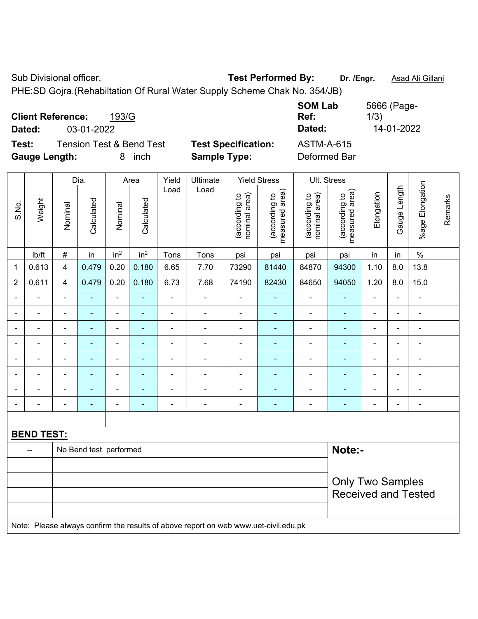PHE:SD Gojra.(Rehabiltation Of Rural Water Supply Scheme Chak No. 354/JB)

| <b>Client Reference:</b><br>03-01-2022<br>Dated: | 193/G                               |                            | <b>SOM Lab</b><br>Ref:<br>Dated: | 5666 (Page-<br>1/3)<br>14-01-2022 |
|--------------------------------------------------|-------------------------------------|----------------------------|----------------------------------|-----------------------------------|
| Test:                                            | <b>Tension Test &amp; Bend Test</b> | <b>Test Specification:</b> | ASTM-A-615                       |                                   |
| <b>Gauge Length:</b>                             | inch<br>8.                          | <b>Sample Type:</b>        | Deformed Bar                     |                                   |

|                |                          |                        | Dia.                     |                          | Area            | Yield          | Ultimate                                                                            |                                | <b>Yield Stress</b>             |                                | Ult. Stress                     |                |                |                 |         |
|----------------|--------------------------|------------------------|--------------------------|--------------------------|-----------------|----------------|-------------------------------------------------------------------------------------|--------------------------------|---------------------------------|--------------------------------|---------------------------------|----------------|----------------|-----------------|---------|
| S.No.          | Weight                   | Nominal                | Calculated               | Nominal                  | Calculated      | Load           | Load                                                                                | nominal area)<br>(according to | (according to<br>measured area) | nominal area)<br>(according to | (according to<br>measured area) | Elongation     | Gauge Length   | %age Elongation | Remarks |
|                | lb/ft                    | $\#$                   | in                       | in <sup>2</sup>          | in <sup>2</sup> | Tons           | Tons                                                                                | psi                            | psi                             | psi                            | psi                             | in             | in             | $\%$            |         |
| 1              | 0.613                    | $\overline{4}$         | 0.479                    | 0.20                     | 0.180           | 6.65           | 7.70                                                                                | 73290                          | 81440                           | 84870                          | 94300                           | 1.10           | 8.0            | 13.8            |         |
| $\overline{2}$ | 0.611                    | 4                      | 0.479                    | 0.20                     | 0.180           | 6.73           | 7.68                                                                                | 74190                          | 82430                           | 84650                          | 94050                           | 1.20           | 8.0            | 15.0            |         |
| Ē,             | ÷,                       | ä,                     | $\blacksquare$           | $\blacksquare$           | $\blacksquare$  | ÷,             | $\overline{a}$                                                                      | ÷,                             | $\blacksquare$                  | $\overline{\phantom{a}}$       | $\blacksquare$                  | $\blacksquare$ | $\blacksquare$ | $\blacksquare$  |         |
|                | $\blacksquare$           |                        | $\blacksquare$           | $\blacksquare$           | ٠               | ä,             | $\blacksquare$                                                                      | $\blacksquare$                 | ä,                              | $\overline{a}$                 | $\blacksquare$                  | $\blacksquare$ | $\blacksquare$ | $\blacksquare$  |         |
|                | $\blacksquare$           |                        | $\blacksquare$           | $\overline{a}$           | ٠               | ÷,             | $\blacksquare$                                                                      | $\blacksquare$                 | $\sim$                          | $\overline{\phantom{0}}$       | $\blacksquare$                  | ٠              | $\blacksquare$ | $\blacksquare$  |         |
|                | $\overline{\phantom{0}}$ |                        |                          | $\overline{\phantom{0}}$ |                 |                | $\blacksquare$                                                                      | ٠                              | ٠                               | $\overline{\phantom{0}}$       | $\blacksquare$                  | ۰              | ٠              | $\blacksquare$  |         |
|                | $\blacksquare$           |                        | ÷                        | $\blacksquare$           | ٠               | ÷              | $\blacksquare$                                                                      | Ē,                             | $\blacksquare$                  | $\blacksquare$                 | $\blacksquare$                  | Ē,             | Ē,             | L,              |         |
| $\blacksquare$ | $\blacksquare$           | $\blacksquare$         | ÷                        | ä,                       | $\blacksquare$  | $\blacksquare$ | $\blacksquare$                                                                      | $\blacksquare$                 | $\blacksquare$                  | $\blacksquare$                 | $\blacksquare$                  | $\blacksquare$ | $\blacksquare$ | $\blacksquare$  |         |
|                | $\blacksquare$           |                        | $\overline{\phantom{a}}$ | $\blacksquare$           | $\blacksquare$  |                | $\blacksquare$                                                                      | $\overline{a}$                 | $\overline{\phantom{a}}$        | $\blacksquare$                 | $\blacksquare$                  | ÷              | Ē,             | $\blacksquare$  |         |
|                | $\blacksquare$           |                        | $\blacksquare$           | $\blacksquare$           | $\blacksquare$  | $\blacksquare$ | $\frac{1}{2}$                                                                       | $\overline{\phantom{a}}$       | $\blacksquare$                  | $\overline{\phantom{a}}$       | $\blacksquare$                  | ÷              | $\blacksquare$ | $\blacksquare$  |         |
|                |                          |                        |                          |                          |                 |                |                                                                                     |                                |                                 |                                |                                 |                |                |                 |         |
|                | <b>BEND TEST:</b>        |                        |                          |                          |                 |                |                                                                                     |                                |                                 |                                |                                 |                |                |                 |         |
|                |                          | No Bend test performed |                          |                          |                 |                |                                                                                     |                                |                                 |                                | Note:-                          |                |                |                 |         |
|                |                          |                        |                          |                          |                 |                |                                                                                     |                                |                                 |                                |                                 |                |                |                 |         |
|                |                          |                        |                          |                          |                 |                |                                                                                     |                                |                                 |                                | <b>Only Two Samples</b>         |                |                |                 |         |
|                |                          |                        |                          |                          |                 |                |                                                                                     |                                |                                 |                                | <b>Received and Tested</b>      |                |                |                 |         |
|                |                          |                        |                          |                          |                 |                | Note: Please always confirm the results of above report on web www.uet-civil.edu.pk |                                |                                 |                                |                                 |                |                |                 |         |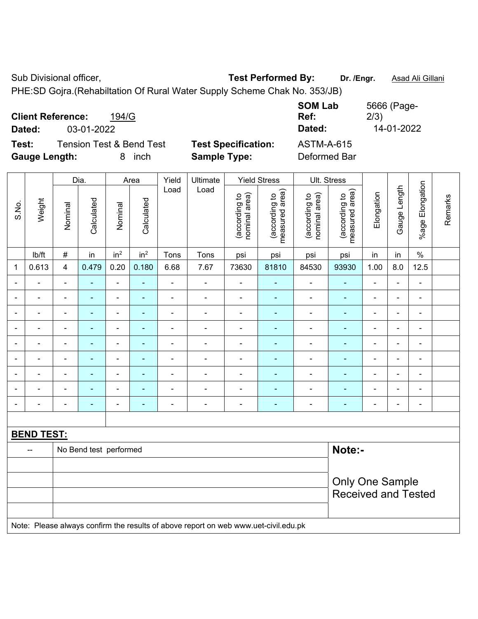PHE:SD Gojra.(Rehabiltation Of Rural Water Supply Scheme Chak No. 353/JB)

| <b>Client Reference:</b><br>194/G<br>03-01-2022<br>Dated:                          |                                                   | <b>SOM Lab</b><br>Ref:<br>Dated:  | 5666 (Page-<br>2/3)<br>14-01-2022 |
|------------------------------------------------------------------------------------|---------------------------------------------------|-----------------------------------|-----------------------------------|
| Test:<br><b>Tension Test &amp; Bend Test</b><br><b>Gauge Length:</b><br>inch<br>8. | <b>Test Specification:</b><br><b>Sample Type:</b> | <b>ASTM-A-615</b><br>Deformed Bar |                                   |

|                          |                                                                                     |                         | Dia.                   |                 | Area                     | Yield          | Ultimate                 |                                | <b>Yield Stress</b>             | Ult. Stress                    |                                 |                          |                |                 |         |
|--------------------------|-------------------------------------------------------------------------------------|-------------------------|------------------------|-----------------|--------------------------|----------------|--------------------------|--------------------------------|---------------------------------|--------------------------------|---------------------------------|--------------------------|----------------|-----------------|---------|
| S.No.                    | Weight                                                                              | Nominal                 | Calculated             | Nominal         | Calculated               | Load           | Load                     | nominal area)<br>(according to | (according to<br>measured area) | nominal area)<br>(according to | measured area)<br>(according to | Elongation               | Gauge Length   | %age Elongation | Remarks |
|                          | Ib/ft                                                                               | $\#$                    | in                     | in <sup>2</sup> | in <sup>2</sup>          | Tons           | Tons                     | psi                            | psi                             | psi                            | psi                             | in                       | in             | $\%$            |         |
| 1                        | 0.613                                                                               | $\overline{\mathbf{4}}$ | 0.479                  | 0.20            | 0.180                    | 6.68           | 7.67                     | 73630                          | 81810                           | 84530                          | 93930                           | 1.00                     | 8.0            | 12.5            |         |
| $\blacksquare$           | ÷.                                                                                  | $\blacksquare$          | ä,                     | $\blacksquare$  | $\blacksquare$           | $\blacksquare$ | $\blacksquare$           | $\blacksquare$                 | $\qquad \qquad \blacksquare$    | $\blacksquare$                 | $\blacksquare$                  | $\blacksquare$           | $\frac{1}{2}$  | $\blacksquare$  |         |
| $\overline{\phantom{0}}$ | $\blacksquare$                                                                      | $\blacksquare$          | $\blacksquare$         | $\blacksquare$  | $\blacksquare$           | $\blacksquare$ | $\blacksquare$           | $\blacksquare$                 | $\qquad \qquad \blacksquare$    | $\overline{\phantom{a}}$       | $\blacksquare$                  | $\blacksquare$           | $\blacksquare$ | $\blacksquare$  |         |
|                          | $\blacksquare$                                                                      | $\blacksquare$          | ÷                      | $\blacksquare$  | $\overline{\phantom{a}}$ | $\blacksquare$ | $\blacksquare$           | $\overline{\phantom{a}}$       | $\blacksquare$                  | $\overline{\phantom{a}}$       | $\blacksquare$                  | $\overline{\phantom{a}}$ | $\blacksquare$ | $\blacksquare$  |         |
| $\blacksquare$           | $\blacksquare$                                                                      | $\blacksquare$          | $\blacksquare$         | $\blacksquare$  | $\blacksquare$           | $\blacksquare$ | $\overline{\phantom{a}}$ | $\blacksquare$                 | ÷                               | $\overline{\phantom{a}}$       | $\blacksquare$                  | $\blacksquare$           | $\blacksquare$ | $\blacksquare$  |         |
|                          | $\blacksquare$                                                                      | $\blacksquare$          | $\blacksquare$         | $\blacksquare$  | $\overline{\phantom{a}}$ | $\blacksquare$ | $\overline{\phantom{a}}$ | $\blacksquare$                 | ÷                               | $\overline{\phantom{a}}$       | $\blacksquare$                  | ÷                        | ÷,             | $\blacksquare$  |         |
|                          |                                                                                     | $\blacksquare$          | ä,                     | $\blacksquare$  | $\blacksquare$           |                | $\blacksquare$           | $\blacksquare$                 | $\blacksquare$                  | $\blacksquare$                 | $\blacksquare$                  | ä,                       | ÷              | $\blacksquare$  |         |
|                          |                                                                                     |                         | $\blacksquare$         | $\blacksquare$  |                          | $\blacksquare$ |                          | $\overline{\phantom{a}}$       |                                 | $\blacksquare$                 | ä,                              |                          | ÷              | Ē,              |         |
|                          | L.                                                                                  |                         | $\blacksquare$         | $\blacksquare$  |                          |                |                          | $\overline{\phantom{a}}$       | $\blacksquare$                  | $\blacksquare$                 | ۰                               | ۰                        | ä,             | $\blacksquare$  |         |
| $\blacksquare$           | $\blacksquare$                                                                      | $\blacksquare$          | $\blacksquare$         | $\blacksquare$  | $\overline{\phantom{a}}$ | $\blacksquare$ | $\overline{\phantom{a}}$ | $\overline{\phantom{a}}$       | $\blacksquare$                  | ÷                              | $\blacksquare$                  | $\blacksquare$           | $\blacksquare$ | $\blacksquare$  |         |
|                          |                                                                                     |                         |                        |                 |                          |                |                          |                                |                                 |                                |                                 |                          |                |                 |         |
|                          | <b>BEND TEST:</b>                                                                   |                         |                        |                 |                          |                |                          |                                |                                 |                                |                                 |                          |                |                 |         |
|                          | ш,                                                                                  |                         | No Bend test performed |                 |                          |                |                          |                                |                                 |                                | Note:-                          |                          |                |                 |         |
|                          |                                                                                     |                         |                        |                 |                          |                |                          |                                |                                 |                                |                                 |                          |                |                 |         |
|                          |                                                                                     | <b>Only One Sample</b>  |                        |                 |                          |                |                          |                                |                                 |                                |                                 |                          |                |                 |         |
|                          |                                                                                     |                         |                        |                 |                          |                |                          |                                |                                 |                                | <b>Received and Tested</b>      |                          |                |                 |         |
|                          |                                                                                     |                         |                        |                 |                          |                |                          |                                |                                 |                                |                                 |                          |                |                 |         |
|                          | Note: Please always confirm the results of above report on web www.uet-civil.edu.pk |                         |                        |                 |                          |                |                          |                                |                                 |                                |                                 |                          |                |                 |         |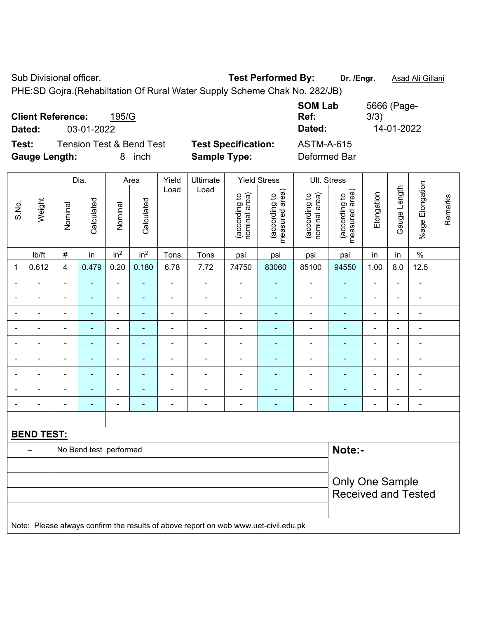PHE:SD Gojra.(Rehabiltation Of Rural Water Supply Scheme Chak No. 282/JB)

| <b>Client Reference:</b><br>Dated: | 03-01-2022               | 195/G     |                            | <b>SOM Lab</b><br>Ref:<br>Dated: | 5666 (Page-<br>3/3)<br>14-01-2022 |
|------------------------------------|--------------------------|-----------|----------------------------|----------------------------------|-----------------------------------|
| Test:                              | Tension Test & Bend Test |           | <b>Test Specification:</b> | <b>ASTM-A-615</b>                |                                   |
| <b>Gauge Length:</b>               |                          | inch<br>8 | <b>Sample Type:</b>        | Deformed Bar                     |                                   |

|                          |                                                                                     |                | Dia.                   |                              | Area                     | Yield          | Ultimate       |                                | <b>Yield Stress</b>             |                                | Ult. Stress                     |                          |                |                          |         |
|--------------------------|-------------------------------------------------------------------------------------|----------------|------------------------|------------------------------|--------------------------|----------------|----------------|--------------------------------|---------------------------------|--------------------------------|---------------------------------|--------------------------|----------------|--------------------------|---------|
| S.No.                    | Weight                                                                              | Nominal        | Calculated             | Nominal                      | Calculated               | Load           | Load           | nominal area)<br>(according to | (according to<br>measured area) | nominal area)<br>(according to | measured area)<br>(according to | Elongation               | Gauge Length   | %age Elongation          | Remarks |
|                          | lb/ft                                                                               | $\#$           | in                     | in <sup>2</sup>              | in <sup>2</sup>          | Tons           | Tons           | psi                            | psi                             | psi                            | psi                             | in                       | in             | $\%$                     |         |
| $\mathbf 1$              | 0.612                                                                               | $\overline{4}$ | 0.479                  | 0.20                         | 0.180                    | 6.78           | 7.72           | 74750                          | 83060                           | 85100                          | 94550                           | 1.00                     | 8.0            | 12.5                     |         |
|                          |                                                                                     | $\blacksquare$ | $\blacksquare$         | $\overline{\phantom{0}}$     | $\blacksquare$           | $\blacksquare$ | ÷,             | $\blacksquare$                 | $\overline{\phantom{0}}$        | $\blacksquare$                 | ٠                               | $\overline{\phantom{a}}$ | ÷,             | $\blacksquare$           |         |
| $\blacksquare$           | $\blacksquare$                                                                      | $\blacksquare$ | $\blacksquare$         | $\qquad \qquad \blacksquare$ | $\blacksquare$           | ä,             | $\blacksquare$ | $\overline{\phantom{a}}$       | $\blacksquare$                  | $\overline{\phantom{a}}$       | ٠                               | $\overline{\phantom{a}}$ | $\blacksquare$ | $\blacksquare$           |         |
| $\overline{\phantom{a}}$ | ÷                                                                                   | $\blacksquare$ | $\blacksquare$         | $\overline{\phantom{0}}$     | $\overline{\phantom{0}}$ | $\blacksquare$ | $\blacksquare$ | $\overline{\phantom{a}}$       | $\blacksquare$                  | $\qquad \qquad \blacksquare$   | ٠                               | $\overline{\phantom{a}}$ | ÷,             | $\blacksquare$           |         |
|                          | $\overline{a}$                                                                      | $\blacksquare$ | $\blacksquare$         | $\qquad \qquad \blacksquare$ | $\blacksquare$           | $\blacksquare$ | $\blacksquare$ | $\overline{\phantom{a}}$       | $\blacksquare$                  | $\qquad \qquad \blacksquare$   | ۰                               | $\blacksquare$           | $\blacksquare$ | $\blacksquare$           |         |
| $\blacksquare$           | $\blacksquare$                                                                      | $\blacksquare$ | $\blacksquare$         | ÷,                           | $\overline{\phantom{0}}$ | ä,             | $\blacksquare$ | $\blacksquare$                 | $\blacksquare$                  | $\overline{\phantom{a}}$       | $\blacksquare$                  | $\overline{\phantom{a}}$ | $\blacksquare$ | $\overline{\phantom{a}}$ |         |
|                          |                                                                                     |                | $\overline{a}$         | $\overline{a}$               |                          |                |                | $\overline{\phantom{0}}$       | $\blacksquare$                  | $\overline{a}$                 | ٠                               | ÷,                       | ÷              | $\blacksquare$           |         |
|                          |                                                                                     | $\blacksquare$ |                        | ÷                            |                          |                |                | $\blacksquare$                 |                                 |                                | $\blacksquare$                  |                          | ÷              | $\blacksquare$           |         |
|                          |                                                                                     |                | $\blacksquare$         | $\overline{\phantom{a}}$     |                          | $\blacksquare$ |                | $\overline{\phantom{a}}$       |                                 |                                | $\blacksquare$                  | ۰                        | $\blacksquare$ | $\overline{\phantom{a}}$ |         |
| $\blacksquare$           |                                                                                     | $\blacksquare$ | ÷                      | $\overline{\phantom{a}}$     | $\blacksquare$           | $\blacksquare$ | $\blacksquare$ | $\overline{\phantom{a}}$       | $\blacksquare$                  | $\overline{\phantom{a}}$       | ٠                               | $\blacksquare$           | $\blacksquare$ | $\blacksquare$           |         |
|                          |                                                                                     |                |                        |                              |                          |                |                |                                |                                 |                                |                                 |                          |                |                          |         |
|                          | <b>BEND TEST:</b>                                                                   |                |                        |                              |                          |                |                |                                |                                 |                                |                                 |                          |                |                          |         |
|                          | --                                                                                  |                | No Bend test performed |                              |                          |                |                |                                |                                 |                                | Note:-                          |                          |                |                          |         |
|                          |                                                                                     |                |                        |                              |                          |                |                |                                |                                 |                                |                                 |                          |                |                          |         |
|                          |                                                                                     |                |                        |                              |                          |                |                |                                |                                 |                                | <b>Only One Sample</b>          |                          |                |                          |         |
|                          |                                                                                     |                |                        |                              |                          |                |                |                                |                                 |                                | <b>Received and Tested</b>      |                          |                |                          |         |
|                          |                                                                                     |                |                        |                              |                          |                |                |                                |                                 |                                |                                 |                          |                |                          |         |
|                          | Note: Please always confirm the results of above report on web www.uet-civil.edu.pk |                |                        |                              |                          |                |                |                                |                                 |                                |                                 |                          |                |                          |         |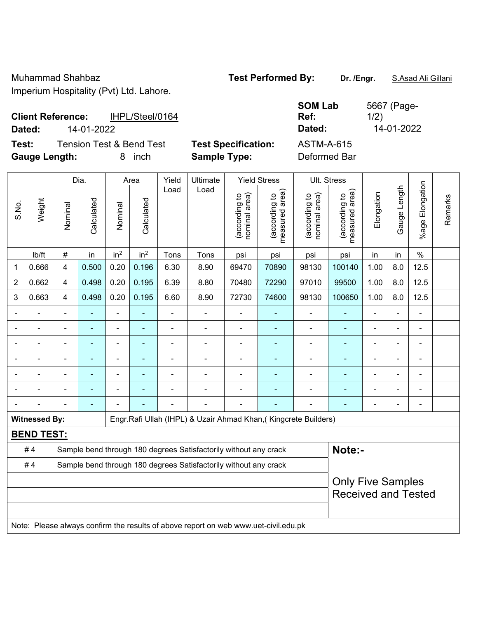Muhammad Shahbaz **Test Performed By: Dr. /Engr.** S.Asad Ali Gillani Imperium Hospitality (Pvt) Ltd. Lahore.

| <b>Client Reference:</b> | IHPL/Steel/0164 | Ref:   | . .<br>1/2) |
|--------------------------|-----------------|--------|-------------|
| Dated:                   | 14-01-2022      | Dated: | 14-01-2022  |

**Test:** Tension Test & Bend Test **Test Specification: Gauge Length:** 8 inch **Sample Type:** Deformed Bar

| <b>SOM Lab</b><br>Ref: | 5667 (Page-<br>1/2) |
|------------------------|---------------------|
| Dated:                 | 14-01-2022          |
| <b>ASTM-A-615</b>      |                     |

| S.No.          | Weight               | Dia.                                                             |                | Area            |                 | Yield          | Ultimate                                                                            | <b>Yield Stress</b>                                    |                                 | Ult. Stress                    |                                 |                |                |                          |         |
|----------------|----------------------|------------------------------------------------------------------|----------------|-----------------|-----------------|----------------|-------------------------------------------------------------------------------------|--------------------------------------------------------|---------------------------------|--------------------------------|---------------------------------|----------------|----------------|--------------------------|---------|
|                |                      | Nominal                                                          | Calculated     | Nominal         | Calculated      | Load           | Load                                                                                | nominal area)<br>(according to                         | (according to<br>measured area) | (according to<br>nominal area) | (according to<br>measured area) | Elongation     | Gauge Length   | Elongation<br>$%$ age l  | Remarks |
|                | Ib/ft                | $\#$                                                             | in             | in <sup>2</sup> | in <sup>2</sup> | Tons           | Tons                                                                                | psi                                                    | psi                             | psi                            | psi                             | in             | in             | $\%$                     |         |
| 1              | 0.666                | 4                                                                | 0.500          | 0.20            | 0.196           | 6.30           | 8.90                                                                                | 69470                                                  | 70890                           | 98130                          | 100140                          | 1.00           | 8.0            | 12.5                     |         |
| $\overline{2}$ | 0.662                | 4                                                                | 0.498          | 0.20            | 0.195           | 6.39           | 8.80                                                                                | 70480                                                  | 72290                           | 97010                          | 99500                           | 1.00           | 8.0            | 12.5                     |         |
| 3              | 0.663                | $\overline{4}$                                                   | 0.498          | 0.20            | 0.195           | 6.60           | 8.90                                                                                | 72730                                                  | 74600                           | 98130                          | 100650                          | 1.00           | 8.0            | 12.5                     |         |
|                |                      |                                                                  |                |                 |                 |                |                                                                                     |                                                        |                                 | ä,                             |                                 |                |                | $\overline{a}$           |         |
|                |                      | ä,                                                               |                | $\blacksquare$  |                 |                | $\blacksquare$                                                                      | Ē,                                                     |                                 | $\blacksquare$                 | ä,                              |                |                |                          |         |
|                |                      |                                                                  |                |                 |                 |                |                                                                                     |                                                        |                                 |                                |                                 |                |                |                          |         |
| $\blacksquare$ |                      | $\overline{\phantom{0}}$                                         | $\blacksquare$ | $\blacksquare$  |                 | ٠              | $\blacksquare$                                                                      | $\blacksquare$                                         |                                 | $\blacksquare$                 | ۰                               | $\blacksquare$ |                | $\overline{\phantom{0}}$ |         |
| $\blacksquare$ |                      | $\blacksquare$                                                   | $\blacksquare$ | $\blacksquare$  |                 | $\blacksquare$ | $\blacksquare$                                                                      | $\blacksquare$                                         | ٠                               | $\overline{\phantom{a}}$       | ۰                               | $\blacksquare$ | $\blacksquare$ | $\blacksquare$           |         |
| $\blacksquare$ | $\blacksquare$       | ä,                                                               | $\blacksquare$ | $\blacksquare$  |                 | $\blacksquare$ | $\blacksquare$                                                                      | Ē,                                                     |                                 | $\overline{\phantom{a}}$       | ۰                               | ä,             |                | $\blacksquare$           |         |
|                |                      | ä,                                                               | $\blacksquare$ |                 |                 | Ē,             | $\blacksquare$                                                                      |                                                        |                                 | ÷                              | L,                              | $\blacksquare$ |                | $\blacksquare$           |         |
|                | <b>Witnessed By:</b> |                                                                  |                |                 |                 |                | Engr.Rafi Ullah (IHPL) & Uzair Ahmad Khan, (Kingcrete Builders)                     |                                                        |                                 |                                |                                 |                |                |                          |         |
|                | <b>BEND TEST:</b>    |                                                                  |                |                 |                 |                |                                                                                     |                                                        |                                 |                                |                                 |                |                |                          |         |
|                | #4                   | Sample bend through 180 degrees Satisfactorily without any crack |                |                 |                 |                |                                                                                     |                                                        |                                 |                                | Note:-                          |                |                |                          |         |
| #4             |                      | Sample bend through 180 degrees Satisfactorily without any crack |                |                 |                 |                |                                                                                     |                                                        |                                 |                                |                                 |                |                |                          |         |
|                |                      |                                                                  |                |                 |                 |                |                                                                                     | <b>Only Five Samples</b><br><b>Received and Tested</b> |                                 |                                |                                 |                |                |                          |         |
|                |                      |                                                                  |                |                 |                 |                | Note: Please always confirm the results of above report on web www.uet-civil.edu.pk |                                                        |                                 |                                |                                 |                |                |                          |         |